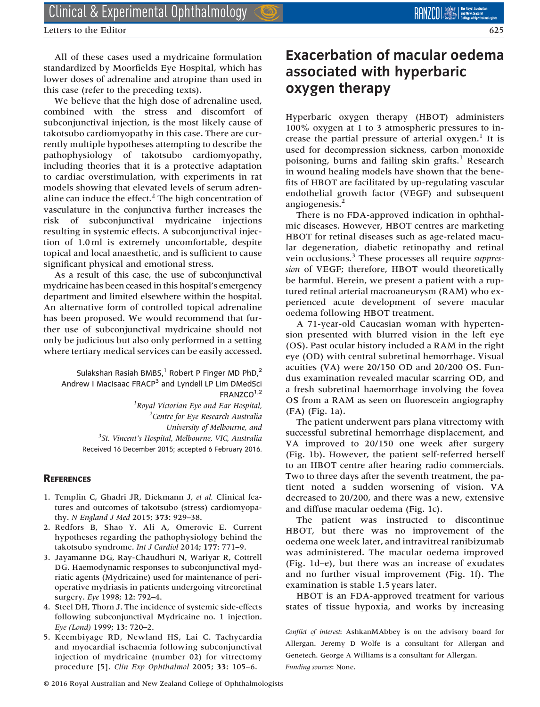Letters to the Editor 625

All of these cases used a mydricaine formulation standardized by Moorfields Eye Hospital, which has lower doses of adrenaline and atropine than used in this case (refer to the preceding texts).

We believe that the high dose of adrenaline used, combined with the stress and discomfort of subconjunctival injection, is the most likely cause of takotsubo cardiomyopathy in this case. There are currently multiple hypotheses attempting to describe the pathophysiology of takotsubo cardiomyopathy, including theories that it is a protective adaptation to cardiac overstimulation, with experiments in rat models showing that elevated levels of serum adrenaline can induce the effect. $<sup>2</sup>$  The high concentration of</sup> vasculature in the conjunctiva further increases the risk of subconjunctival mydricaine injections resulting in systemic effects. A subconjunctival injection of 1.0 ml is extremely uncomfortable, despite topical and local anaesthetic, and is sufficient to cause significant physical and emotional stress.

As a result of this case, the use of subconjunctival mydricaine has been ceased in this hospital's emergency department and limited elsewhere within the hospital. An alternative form of controlled topical adrenaline has been proposed. We would recommend that further use of subconjunctival mydricaine should not only be judicious but also only performed in a setting where tertiary medical services can be easily accessed.

Sulakshan Rasiah BMBS, $1$  Robert P Finger MD PhD, $2$ Andrew I MacIsaac FRACP<sup>3</sup> and Lyndell LP Lim DMedSci FRANZCO<sup>1,2</sup>

> <sup>1</sup> Royal Victorian Eye and Ear Hospital, <sup>2</sup> Centre for Eye Research Australia University of Melbourne, and <sup>3</sup>St. Vincent's Hospital, Melbourne, VIC, Australia Received 16 December 2015; accepted 6 February 2016.

## **REFERENCES**

- 1. Templin C, Ghadri JR, Diekmann J, et al. Clinical features and outcomes of takotsubo (stress) cardiomyopathy. N England J Med 2015; 373: 929–38.
- 2. Redfors B, Shao Y, Ali A, Omerovic E. Current hypotheses regarding the pathophysiology behind the takotsubo syndrome. Int J Cardiol 2014; 177: 771–9.
- 3. Jayamanne DG, Ray-Chaudhuri N, Wariyar R, Cottrell DG. Haemodynamic responses to subconjunctival mydriatic agents (Mydricaine) used for maintenance of perioperative mydriasis in patients undergoing vitreoretinal surgery. Eye 1998; 12: 792–4.
- 4. Steel DH, Thorn J. The incidence of systemic side-effects following subconjunctival Mydricaine no. 1 injection. Eye (Lond) 1999; 13: 720–2.
- 5. Keembiyage RD, Newland HS, Lai C. Tachycardia and myocardial ischaemia following subconjunctival injection of mydricaine (number 02) for vitrectomy procedure [5]. Clin Exp Ophthalmol 2005; 33: 105–6.

## Exacerbation of macular oedema associated with hyperbaric oxygen therapy

Hyperbaric oxygen therapy (HBOT) administers 100% oxygen at 1 to 3 atmospheric pressures to increase the partial pressure of arterial  $oxygen.$ <sup>1</sup> It is used for decompression sickness, carbon monoxide poisoning, burns and failing skin grafts. $<sup>1</sup>$  Research</sup> in wound healing models have shown that the benefits of HBOT are facilitated by up-regulating vascular endothelial growth factor (VEGF) and subsequent angiogenesis.<sup>2</sup>

There is no FDA-approved indication in ophthalmic diseases. However, HBOT centres are marketing HBOT for retinal diseases such as age-related macular degeneration, diabetic retinopathy and retinal vein occlusions.<sup>3</sup> These processes all require *suppres*sion of VEGF; therefore, HBOT would theoretically be harmful. Herein, we present a patient with a ruptured retinal arterial macroaneurysm (RAM) who experienced acute development of severe macular oedema following HBOT treatment.

A 71-year-old Caucasian woman with hypertension presented with blurred vision in the left eye (OS). Past ocular history included a RAM in the right eye (OD) with central subretinal hemorrhage. Visual acuities (VA) were 20/150 OD and 20/200 OS. Fundus examination revealed macular scarring OD, and a fresh subretinal haemorrhage involving the fovea OS from a RAM as seen on fluorescein angiography (FA) (Fig. 1a).

The patient underwent pars plana vitrectomy with successful subretinal hemorrhage displacement, and VA improved to 20/150 one week after surgery (Fig. 1b). However, the patient self-referred herself to an HBOT centre after hearing radio commercials. Two to three days after the seventh treatment, the patient noted a sudden worsening of vision. VA decreased to 20/200, and there was a new, extensive and diffuse macular oedema (Fig. 1c).

The patient was instructed to discontinue HBOT, but there was no improvement of the oedema one week later, and intravitreal ranibizumab was administered. The macular oedema improved (Fig. 1d–e), but there was an increase of exudates and no further visual improvement (Fig. 1f). The examination is stable 1.5 years later.

HBOT is an FDA-approved treatment for various states of tissue hypoxia, and works by increasing

Conflict of interest: AshkanMAbbey is on the advisory board for Allergan. Jeremy D Wolfe is a consultant for Allergan and Genetech. George A Williams is a consultant for Allergan. Funding sources: None.